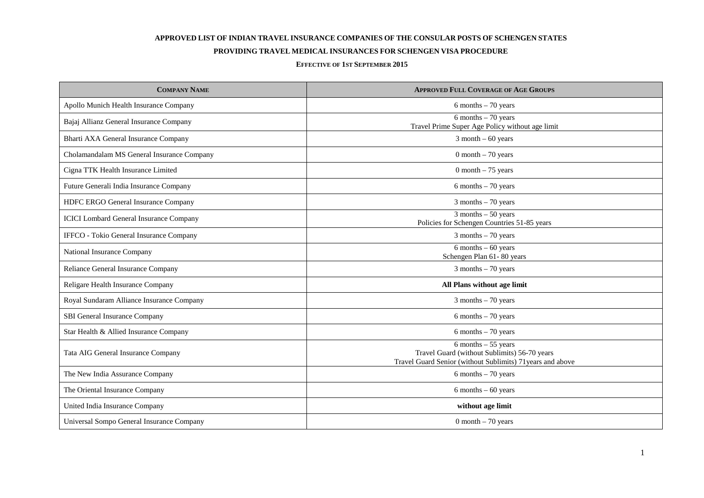## **APPROVED LIST OF INDIAN TRAVEL INSURANCE COMPANIES OF THE CONSULAR POSTS OF SCHENGEN STATES**

## **PROVIDING TRAVEL MEDICAL INSURANCES FOR SCHENGEN VISA PROCEDURE**

## **EFFECTIVE OF 1ST SEPTEMBER 2015**

| <b>COMPANY NAME</b>                            | <b>APPROVED FULL COVERAGE OF AGE GROUPS</b>                                                                                          |
|------------------------------------------------|--------------------------------------------------------------------------------------------------------------------------------------|
| Apollo Munich Health Insurance Company         | 6 months $-70$ years                                                                                                                 |
| Bajaj Allianz General Insurance Company        | $6$ months $-70$ years<br>Travel Prime Super Age Policy without age limit                                                            |
| Bharti AXA General Insurance Company           | $3$ month $-60$ years                                                                                                                |
| Cholamandalam MS General Insurance Company     | $0$ month $-70$ years                                                                                                                |
| Cigna TTK Health Insurance Limited             | $0$ month $-75$ years                                                                                                                |
| Future Generali India Insurance Company        | $6$ months $-70$ years                                                                                                               |
| HDFC ERGO General Insurance Company            | $3$ months $-70$ years                                                                                                               |
| <b>ICICI</b> Lombard General Insurance Company | $3$ months $-50$ years<br>Policies for Schengen Countries 51-85 years                                                                |
| IFFCO - Tokio General Insurance Company        | $3$ months $-70$ years                                                                                                               |
| National Insurance Company                     | $6$ months $-60$ years<br>Schengen Plan 61-80 years                                                                                  |
| Reliance General Insurance Company             | $3$ months $-70$ years                                                                                                               |
| Religare Health Insurance Company              | All Plans without age limit                                                                                                          |
| Royal Sundaram Alliance Insurance Company      | $3$ months $-70$ years                                                                                                               |
| SBI General Insurance Company                  | $6$ months $-70$ years                                                                                                               |
| Star Health & Allied Insurance Company         | $6$ months $-70$ years                                                                                                               |
| Tata AIG General Insurance Company             | $6$ months $-55$ years<br>Travel Guard (without Sublimits) 56-70 years<br>Travel Guard Senior (without Sublimits) 71 years and above |
| The New India Assurance Company                | $6$ months $-70$ years                                                                                                               |
| The Oriental Insurance Company                 | $6$ months $-60$ years                                                                                                               |
| United India Insurance Company                 | without age limit                                                                                                                    |
| Universal Sompo General Insurance Company      | 0 month $-70$ years                                                                                                                  |